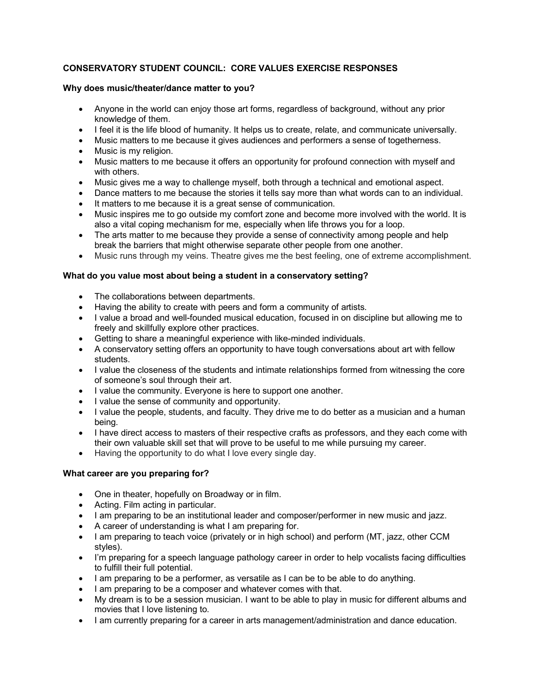# **CONSERVATORY STUDENT COUNCIL: CORE VALUES EXERCISE RESPONSES**

## **Why does music/theater/dance matter to you?**

- Anyone in the world can enjoy those art forms, regardless of background, without any prior knowledge of them.
- I feel it is the life blood of humanity. It helps us to create, relate, and communicate universally.
- Music matters to me because it gives audiences and performers a sense of togetherness.
- Music is my religion.
- Music matters to me because it offers an opportunity for profound connection with myself and with others.
- Music gives me a way to challenge myself, both through a technical and emotional aspect.
- Dance matters to me because the stories it tells say more than what words can to an individual.
- It matters to me because it is a great sense of communication.
- Music inspires me to go outside my comfort zone and become more involved with the world. It is also a vital coping mechanism for me, especially when life throws you for a loop.
- The arts matter to me because they provide a sense of connectivity among people and help break the barriers that might otherwise separate other people from one another.
- Music runs through my veins. Theatre gives me the best feeling, one of extreme accomplishment.

## **What do you value most about being a student in a conservatory setting?**

- The collaborations between departments.
- Having the ability to create with peers and form a community of artists.
- I value a broad and well-founded musical education, focused in on discipline but allowing me to freely and skillfully explore other practices.
- Getting to share a meaningful experience with like-minded individuals.
- A conservatory setting offers an opportunity to have tough conversations about art with fellow students.
- I value the closeness of the students and intimate relationships formed from witnessing the core of someone's soul through their art.
- I value the community. Everyone is here to support one another.
- I value the sense of community and opportunity.
- I value the people, students, and faculty. They drive me to do better as a musician and a human being.
- I have direct access to masters of their respective crafts as professors, and they each come with their own valuable skill set that will prove to be useful to me while pursuing my career.
- Having the opportunity to do what I love every single day.

## **What career are you preparing for?**

- One in theater, hopefully on Broadway or in film.
- Acting. Film acting in particular.
- I am preparing to be an institutional leader and composer/performer in new music and jazz.
- A career of understanding is what I am preparing for.
- I am preparing to teach voice (privately or in high school) and perform (MT, jazz, other CCM styles).
- I'm preparing for a speech language pathology career in order to help vocalists facing difficulties to fulfill their full potential.
- I am preparing to be a performer, as versatile as I can be to be able to do anything.
- I am preparing to be a composer and whatever comes with that.
- My dream is to be a session musician. I want to be able to play in music for different albums and movies that I love listening to.
- I am currently preparing for a career in arts management/administration and dance education.